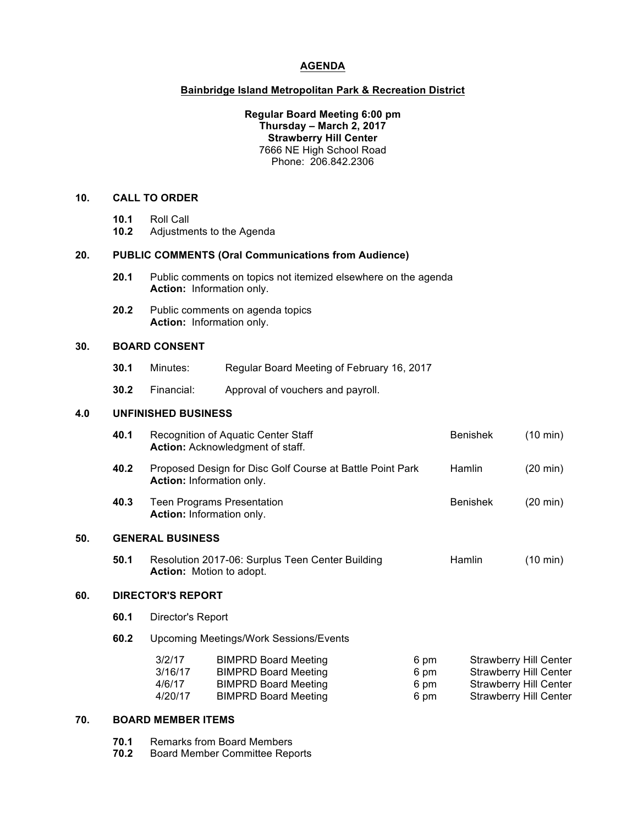# **AGENDA**

# **Bainbridge Island Metropolitan Park & Recreation District**

#### **Regular Board Meeting 6:00 pm Thursday – March 2, 2017 Strawberry Hill Center** 7666 NE High School Road Phone: 206.842.2306

# **10. CALL TO ORDER**

- **10.1** Roll Call
- **10.2** Adjustments to the Agenda

#### **20. PUBLIC COMMENTS (Oral Communications from Audience)**

- **20.1** Public comments on topics not itemized elsewhere on the agenda **Action:** Information only.
- **20.2** Public comments on agenda topics **Action:** Information only.

## **30. BOARD CONSENT**

- **30.1** Minutes: Regular Board Meeting of February 16, 2017
- **30.2** Financial: Approval of vouchers and payroll.

### **4.0 UNFINISHED BUSINESS**

| 40.1                    | Recognition of Aquatic Center Staff<br>Action: Acknowledgment of staff.             |                                                                                                                          | <b>Benishek</b>                                       | $(10 \text{ min})$                                        |                                                                                                                                  |
|-------------------------|-------------------------------------------------------------------------------------|--------------------------------------------------------------------------------------------------------------------------|-------------------------------------------------------|-----------------------------------------------------------|----------------------------------------------------------------------------------------------------------------------------------|
| 40.2                    |                                                                                     |                                                                                                                          | Hamlin                                                | $(20 \text{ min})$                                        |                                                                                                                                  |
| 40.3                    | <b>Teen Programs Presentation</b><br>Action: Information only.                      |                                                                                                                          | <b>Benishek</b>                                       | $(20 \text{ min})$                                        |                                                                                                                                  |
| <b>GENERAL BUSINESS</b> |                                                                                     |                                                                                                                          |                                                       |                                                           |                                                                                                                                  |
| 50.1                    | Resolution 2017-06: Surplus Teen Center Building<br><b>Action:</b> Motion to adopt. |                                                                                                                          |                                                       | Hamlin                                                    | $(10 \text{ min})$                                                                                                               |
|                         |                                                                                     |                                                                                                                          |                                                       |                                                           |                                                                                                                                  |
| 60.1                    | Director's Report                                                                   |                                                                                                                          |                                                       |                                                           |                                                                                                                                  |
| 60.2                    | <b>Upcoming Meetings/Work Sessions/Events</b>                                       |                                                                                                                          |                                                       |                                                           |                                                                                                                                  |
|                         | 3/2/17<br>3/16/17<br>4/6/17<br>4/20/17                                              | <b>BIMPRD Board Meeting</b><br><b>BIMPRD Board Meeting</b><br><b>BIMPRD Board Meeting</b><br><b>BIMPRD Board Meeting</b> | 6 pm<br>6 pm<br>6 pm<br>6 pm                          |                                                           |                                                                                                                                  |
|                         |                                                                                     |                                                                                                                          | Action: Information only.<br><b>DIRECTOR'S REPORT</b> | Proposed Design for Disc Golf Course at Battle Point Park | <b>Strawberry Hill Center</b><br><b>Strawberry Hill Center</b><br><b>Strawberry Hill Center</b><br><b>Strawberry Hill Center</b> |

# **70. BOARD MEMBER ITEMS**

**70.1** Remarks from Board Members

**70.2** Board Member Committee Reports